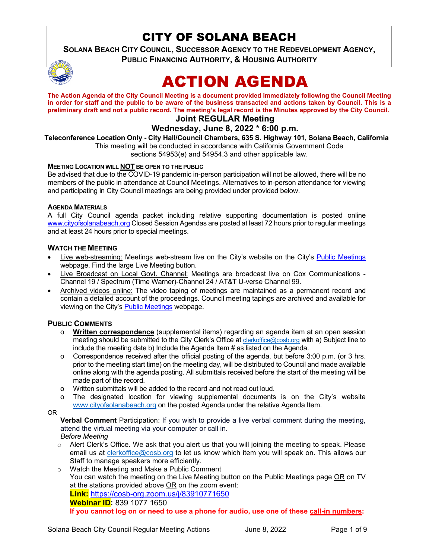## CITY OF SOLANA BEACH

**SOLANA BEACH CITY COUNCIL, SUCCESSOR AGENCY TO THE REDEVELOPMENT AGENCY, PUBLIC FINANCING AUTHORITY, & HOUSING AUTHORITY** 



# ACTION AGENDA

**The Action Agenda of the City Council Meeting is a document provided immediately following the Council Meeting in order for staff and the public to be aware of the business transacted and actions taken by Council. This is a preliminary draft and not a public record. The meeting's legal record is the Minutes approved by the City Council.** 

## **Joint REGULAR Meeting**

## **Wednesday, June 8, 2022 \* 6:00 p.m.**

**Teleconference Location Only - City Hall/Council Chambers, 635 S. Highway 101, Solana Beach, California**

This meeting will be conducted in accordance with California Government Code sections 54953(e) and 54954.3 and other applicable law.

#### **MEETING LOCATION WILL NOT BE OPEN TO THE PUBLIC**

Be advised that due to the COVID-19 pandemic in-person participation will not be allowed, there will be no members of the public in attendance at Council Meetings. Alternatives to in-person attendance for viewing and participating in City Council meetings are being provided under provided below.

#### **AGENDA MATERIALS**

A full City Council agenda packet including relative supporting documentation is posted online [www.cityofsolanabeach.org](http://www.cityofsolanabeach.org/) Closed Session Agendas are posted at least 72 hours prior to regular meetings and at least 24 hours prior to special meetings.

#### **WATCH THE MEETING**

- Live web-streaming: Meetings web-stream live on the City's website on the City's [Public Meetings](https://urldefense.proofpoint.com/v2/url?u=https-3A__www.ci.solana-2Dbeach.ca.us_index.asp-3FSEC-3DF0F1200D-2D21C6-2D4A88-2D8AE1-2D0BC07C1A81A7-26Type-3DB-5FBASIC&d=DwMFAg&c=euGZstcaTDllvimEN8b7jXrwqOf-v5A_CdpgnVfiiMM&r=1XAsCUuqwK_tji2t0s1uIQ&m=wny2RVfZJ2tN24LkqZmkUWNpwL_peNtTZUBlTBZiMM4&s=WwpcEQpHHkFen6nS6q2waMuQ_VMZ-i1YZ60lD-dYRRE&e=) webpage. Find the large Live Meeting button.
- Live Broadcast on Local Govt. Channel: Meetings are broadcast live on Cox Communications Channel 19 / Spectrum (Time Warner)-Channel 24 / AT&T U-verse Channel 99.
- Archived videos online: The video taping of meetings are maintained as a permanent record and contain a detailed account of the proceedings. Council meeting tapings are archived and available for viewing on the City's [Public Meetings](https://urldefense.proofpoint.com/v2/url?u=https-3A__www.ci.solana-2Dbeach.ca.us_index.asp-3FSEC-3DF0F1200D-2D21C6-2D4A88-2D8AE1-2D0BC07C1A81A7-26Type-3DB-5FBASIC&d=DwMFAg&c=euGZstcaTDllvimEN8b7jXrwqOf-v5A_CdpgnVfiiMM&r=1XAsCUuqwK_tji2t0s1uIQ&m=wny2RVfZJ2tN24LkqZmkUWNpwL_peNtTZUBlTBZiMM4&s=WwpcEQpHHkFen6nS6q2waMuQ_VMZ-i1YZ60lD-dYRRE&e=) webpage.

## **PUBLIC COMMENTS**

- o **Written correspondence** (supplemental items) regarding an agenda item at an open session meeting should be submitted to the City Clerk's Office a[t clerkoffice@cosb.org](mailto:clerkoffice@cosb.org) with a) Subject line to include the meeting date b) Include the Agenda Item # as listed on the Agenda.
- o Correspondence received after the official posting of the agenda, but before 3:00 p.m. (or 3 hrs. prior to the meeting start time) on the meeting day, will be distributed to Council and made available online along with the agenda posting. All submittals received before the start of the meeting will be made part of the record.
- o Written submittals will be added to the record and not read out loud.
- o The designated location for viewing supplemental documents is on the City's website [www.cityofsolanabeach.org](http://www.cityofsolanabeach.org/) on the posted Agenda under the relative Agenda Item.

OR

**Verbal Comment** Participation: If you wish to provide a live verbal comment during the meeting, attend the virtual meeting via your computer or call in. *Before Meeting*

Alert Clerk's Office. We ask that you alert us that you will joining the meeting to speak. Please email us at [clerkoffice@cosb.org](mailto:clerkoffice@cosb.org) to let us know which item you will speak on. This allows our Staff to manage speakers more efficiently.

o Watch the Meeting and Make a Public Comment You can watch the meeting on the Live Meeting button on the Public Meetings page OR on TV at the stations provided above  $OR$  on the zoom event: **Link:** <https://cosb-org.zoom.us/j/83910771650> **Webinar ID:** 839 1077 1650 **If you cannot log on or need to use a phone for audio, use one of these call-in numbers:**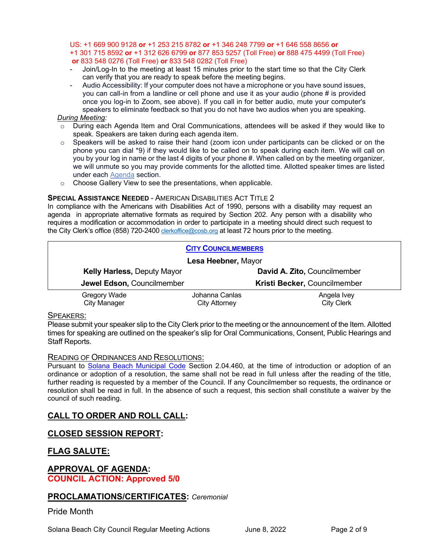#### US: +1 669 900 9128 **or** +1 253 215 8782 **or** +1 346 248 7799 **or** +1 646 558 8656 **or**  +1 301 715 8592 **or** +1 312 626 6799 **or** 877 853 5257 (Toll Free) **or** 888 475 4499 (Toll Free) **or** 833 548 0276 (Toll Free) **or** 833 548 0282 (Toll Free)

- Join/Log-In to the meeting at least 15 minutes prior to the start time so that the City Clerk can verify that you are ready to speak before the meeting begins.
- Audio Accessibility: If your computer does not have a microphone or you have sound issues, you can call-in from a landline or cell phone and use it as your audio (phone # is provided once you log-in to Zoom, see above). If you call in for better audio, mute your computer's speakers to eliminate feedback so that you do not have two audios when you are speaking.

#### *During Meeting:*

- o During each Agenda Item and Oral Communications, attendees will be asked if they would like to speak. Speakers are taken during each agenda item.
- $\circ$  Speakers will be asked to raise their hand (zoom icon under participants can be clicked or on the phone you can dial \*9) if they would like to be called on to speak during each item. We will call on you by your log in name or the last 4 digits of your phone #. When called on by the meeting organizer, we will unmute so you may provide comments for the allotted time. Allotted speaker times are listed under each [Agenda](https://urldefense.proofpoint.com/v2/url?u=https-3A__www.ci.solana-2Dbeach.ca.us_index.asp-3FSEC-3DF0F1200D-2D21C6-2D4A88-2D8AE1-2D0BC07C1A81A7-26Type-3DB-5FBASIC&d=DwMFaQ&c=euGZstcaTDllvimEN8b7jXrwqOf-v5A_CdpgnVfiiMM&r=1XAsCUuqwK_tji2t0s1uIQ&m=C7WzXfOw2_nkEFMJClT55zZsF4tmIf_7KTn0o1WpYqI&s=3DcsWExM2_nx_xpvFtXslUjphiXd0MDCCF18y_Qy5yU&e=) section.
- o Choose Gallery View to see the presentations, when applicable.

#### **SPECIAL ASSISTANCE NEEDED - AMERICAN DISABILITIES ACT TITLE 2**

In compliance with the Americans with Disabilities Act of 1990, persons with a disability may request an agenda in appropriate alternative formats as required by Section 202. Any person with a disability who requires a modification or accommodation in order to participate in a meeting should direct such request to the City Clerk's office (858) 720-240[0 clerkoffice@cosb.org](mailto:EMAILGRP-CityClerksOfc@cosb.org) at least 72 hours prior to the meeting.

| <b>CITY COUNCILMEMBERS</b>         |                |                              |
|------------------------------------|----------------|------------------------------|
| Lesa Heebner, Mayor                |                |                              |
| <b>Kelly Harless, Deputy Mayor</b> |                | David A. Zito, Councilmember |
| Jewel Edson, Councilmember         |                | Kristi Becker, Councilmember |
| Gregory Wade                       | Johanna Canlas | Angela Ivey                  |
| <b>City Manager</b>                | City Attorney  | <b>City Clerk</b>            |

#### SPEAKERS:

Please submit your speaker slip to the City Clerk prior to the meeting or the announcement of the Item. Allotted times for speaking are outlined on the speaker's slip for Oral Communications, Consent, Public Hearings and Staff Reports.

#### READING OF ORDINANCES AND RESOLUTIONS:

Pursuant to [Solana Beach Municipal Code](mailto:https://www.codepublishing.com/CA/SolanaBeach/) Section 2.04.460, at the time of introduction or adoption of an ordinance or adoption of a resolution, the same shall not be read in full unless after the reading of the title, further reading is requested by a member of the Council. If any Councilmember so requests, the ordinance or resolution shall be read in full. In the absence of such a request, this section shall constitute a waiver by the council of such reading.

## **CALL TO ORDER AND ROLL CALL:**

## **CLOSED SESSION REPORT:**

## **FLAG SALUTE:**

## **APPROVAL OF AGENDA: COUNCIL ACTION: Approved 5/0**

## **PROCLAMATIONS/CERTIFICATES:** *Ceremonial*

## Pride Month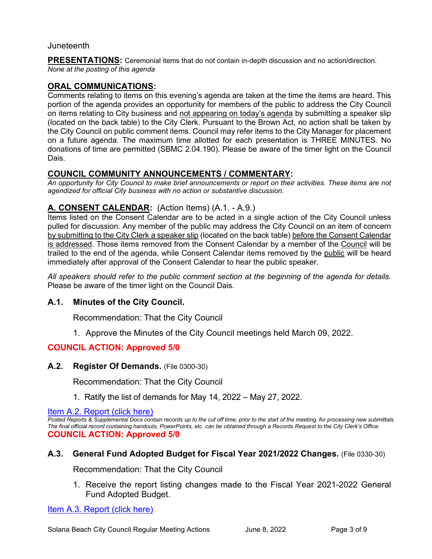## Juneteenth

**PRESENTATIONS:** Ceremonial items that do not contain in-depth discussion and no action/direction. *None at the posting of this agenda*

## **ORAL COMMUNICATIONS:**

Comments relating to items on this evening's agenda are taken at the time the items are heard. This portion of the agenda provides an opportunity for members of the public to address the City Council on items relating to City business and not appearing on today's agenda by submitting a speaker slip (located on the back table) to the City Clerk. Pursuant to the Brown Act, no action shall be taken by the City Council on public comment items. Council may refer items to the City Manager for placement on a future agenda. The maximum time allotted for each presentation is THREE MINUTES. No donations of time are permitted (SBMC 2.04.190). Please be aware of the timer light on the Council Dais.

## **COUNCIL COMMUNITY ANNOUNCEMENTS / COMMENTARY:**

*An opportunity for City Council to make brief announcements or report on their activities. These items are not agendized for official City business with no action or substantive discussion.* 

## **A. CONSENT CALENDAR:** (Action Items) (A.1. - A.9.)

Items listed on the Consent Calendar are to be acted in a single action of the City Council unless pulled for discussion. Any member of the public may address the City Council on an item of concern by submitting to the City Clerk a speaker slip (located on the back table) before the Consent Calendar is addressed. Those items removed from the Consent Calendar by a member of the Council will be trailed to the end of the agenda, while Consent Calendar items removed by the public will be heard immediately after approval of the Consent Calendar to hear the public speaker.

*All speakers should refer to the public comment section at the beginning of the agenda for details.* Please be aware of the timer light on the Council Dais.

## **A.1. Minutes of the City Council.**

Recommendation: That the City Council

1. Approve the Minutes of the City Council meetings held March 09, 2022.

## **COUNCIL ACTION: Approved 5/0**

**A.2. Register Of Demands.** (File 0300-30)

Recommendation: That the City Council

[1. Ratify the list of demands for May 14, 2022 – May 27, 2022.](https://solanabeach.govoffice3.com/vertical/Sites/%7B840804C2-F869-4904-9AE3-720581350CE7%7D/uploads/A.2._Report_-_6-8-22_-_O.pdf)

[Item A.2. Report \(click here\)](https://solanabeach.govoffice3.com/vertical/Sites/%7B840804C2-F869-4904-9AE3-720581350CE7%7D/uploads/A.2._Report_-_6-8-22_-_O.pdf) 

*Posted Reports & Supplemental Docs contain records up to the cut off time, prior to the start of the meeting, for processing new submittals. The final official record containing handouts, PowerPoints, etc. can be obtained through a Records Request to the City Clerk's Office.* **COUNCIL ACTION: Approved 5/0**

## **A.3. General Fund Adopted Budget for Fiscal Year 2021/2022 Changes.** (File 0330-30)

Recommendation: That the City Council

1. Receive the report listing changes made to the Fiscal Year 2021-2022 General Fund Adopted Budget.

[Item A.3. Report \(click here\)](https://solanabeach.govoffice3.com/vertical/Sites/%7B840804C2-F869-4904-9AE3-720581350CE7%7D/uploads/A.3._Report_-_6-8-22_-_O.pdf)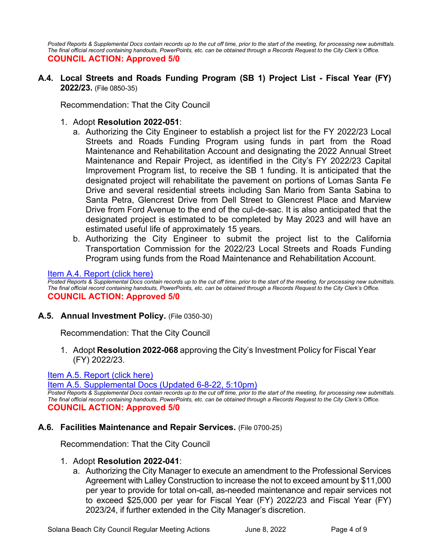*Posted Reports & Supplemental Docs contain records up to the cut off time, prior to the start of the meeting, for processing new submittals. The final official record containing handouts, PowerPoints, etc. can be obtained through a Records Request to the City Clerk's Office.* **COUNCIL ACTION: Approved 5/0**

**A.4. Local Streets and Roads Funding Program (SB 1) Project List - Fiscal Year (FY) 2022/23.** (File 0850-35)

Recommendation: That the City Council

- 1. Adopt **Resolution 2022-051**:
	- a. Authorizing the City Engineer to establish a project list for the FY 2022/23 Local Streets and Roads Funding Program using funds in part from the Road Maintenance and Rehabilitation Account and designating the 2022 Annual Street Maintenance and Repair Project, as identified in the City's FY 2022/23 Capital Improvement Program list, to receive the SB 1 funding. It is anticipated that the designated project will rehabilitate the pavement on portions of Lomas Santa Fe Drive and several residential streets including San Mario from Santa Sabina to Santa Petra, Glencrest Drive from Dell Street to Glencrest Place and Marview Drive from Ford Avenue to the end of the cul-de-sac. It is also anticipated that the designated project is estimated to be completed by May 2023 and will have an estimated useful life of approximately 15 years.
	- b. Authorizing the City Engineer to submit the project list to the California Transportation Commission for the 2022/23 Local Streets and Roads Funding Program using funds from the Road Maintenance and Rehabilitation Account.

## [Item A.4. Report \(click here\)](https://solanabeach.govoffice3.com/vertical/Sites/%7B840804C2-F869-4904-9AE3-720581350CE7%7D/uploads/A.4._Report_-_6-8-22_-_O.pdf)

*Posted Reports & Supplemental Docs contain records up to the cut off time, prior to the start of the meeting, for processing new submittals. The final official record containing handouts, PowerPoints, etc. can be obtained through a Records Request to the City Clerk's Office.* **COUNCIL ACTION: Approved 5/0**

## **A.5. Annual Investment Policy.** (File 0350-30)

Recommendation: That the City Council

1. Adopt **Resolution 2022-068** approving the City's Investment Policy for Fiscal Year (FY) 2022/23.

## [Item A.5. Report \(click here\)](https://solanabeach.govoffice3.com/vertical/Sites/%7B840804C2-F869-4904-9AE3-720581350CE7%7D/uploads/A.5._Report_-_6-8-22_-_O.pdf)

[Item A.5. Supplemental Docs \(Updated 6-8-22, 5:10pm\)](https://solanabeach.govoffice3.com/vertical/Sites/%7B840804C2-F869-4904-9AE3-720581350CE7%7D/uploads/A.5._Supplemental_Docs_(6-8_5pm)_-_R.pdf)

*Posted Reports & Supplemental Docs contain records up to the cut off time, prior to the start of the meeting, for processing new submittals. The final official record containing handouts, PowerPoints, etc. can be obtained through a Records Request to the City Clerk's Office.* **COUNCIL ACTION: Approved 5/0**

## **A.6. Facilities Maintenance and Repair Services.** (File 0700-25)

Recommendation: That the City Council

#### 1. Adopt **Resolution 2022-041**:

a. Authorizing the City Manager to execute an amendment to the Professional Services Agreement with Lalley Construction to increase the not to exceed amount by \$11,000 per year to provide for total on-call, as-needed maintenance and repair services not to exceed \$25,000 per year for Fiscal Year (FY) 2022/23 and Fiscal Year (FY) 2023/24, if further extended in the City Manager's discretion.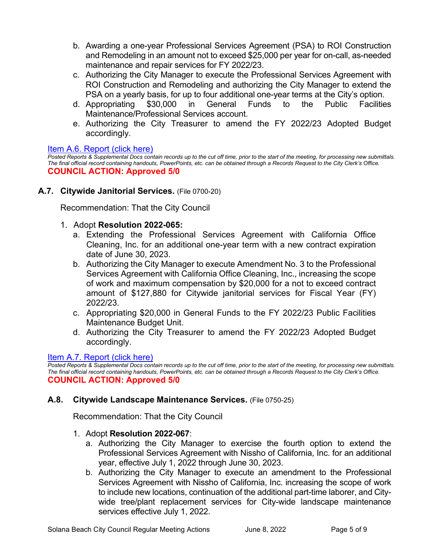- b. Awarding a one-year Professional Services Agreement (PSA) to ROI Construction and Remodeling in an amount not to exceed \$25,000 per year for on-call, as-needed maintenance and repair services for FY 2022/23.
- c. Authorizing the City Manager to execute the Professional Services Agreement with ROI Construction and Remodeling and authorizing the City Manager to extend the PSA on a yearly basis, for up to four additional one-year terms at the City's option.
- d. Appropriating \$30,000 in General Funds to the Public Facilities Maintenance/Professional Services account.
- e. Authorizing the City Treasurer to amend the FY 2022/23 Adopted Budget accordingly.

## [Item A.6. Report \(click here\)](https://solanabeach.govoffice3.com/vertical/Sites/%7B840804C2-F869-4904-9AE3-720581350CE7%7D/uploads/A.6._Report_-_6-8-22_-_O.pdf)

*Posted Reports & Supplemental Docs contain records up to the cut off time, prior to the start of the meeting, for processing new submittals. The final official record containing handouts, PowerPoints, etc. can be obtained through a Records Request to the City Clerk's Office.* **COUNCIL ACTION: Approved 5/0**

## **A.7. Citywide Janitorial Services.** (File 0700-20)

Recommendation: That the City Council

- 1. Adopt **Resolution 2022-065:**
	- a. Extending the Professional Services Agreement with California Office Cleaning, Inc. for an additional one-year term with a new contract expiration date of June 30, 2023.
	- b. Authorizing the City Manager to execute Amendment No. 3 to the Professional Services Agreement with California Office Cleaning, Inc., increasing the scope of work and maximum compensation by \$20,000 for a not to exceed contract amount of \$127,880 for Citywide janitorial services for Fiscal Year (FY) 2022/23.
	- c. Appropriating \$20,000 in General Funds to the FY 2022/23 Public Facilities Maintenance Budget Unit.
	- d. Authorizing the City Treasurer to amend the FY 2022/23 Adopted Budget accordingly.

## [Item A.7. Report \(click here\)](https://solanabeach.govoffice3.com/vertical/Sites/%7B840804C2-F869-4904-9AE3-720581350CE7%7D/uploads/A.7._Report_-_6-8-22_-_O.pdf)

*Posted Reports & Supplemental Docs contain records up to the cut off time, prior to the start of the meeting, for processing new submittals. The final official record containing handouts, PowerPoints, etc. can be obtained through a Records Request to the City Clerk's Office.* **COUNCIL ACTION: Approved 5/0**

## **A.8. Citywide Landscape Maintenance Services.** (File 0750-25)

Recommendation: That the City Council

## 1. Adopt **Resolution 2022-067**:

- a. Authorizing the City Manager to exercise the fourth option to extend the Professional Services Agreement with Nissho of California, Inc. for an additional year, effective July 1, 2022 through June 30, 2023.
- b. Authorizing the City Manager to execute an amendment to the Professional Services Agreement with Nissho of California, Inc. increasing the scope of work to include new locations, continuation of the additional part-time laborer, and Citywide tree/plant replacement services for City-wide landscape maintenance services effective July 1, 2022.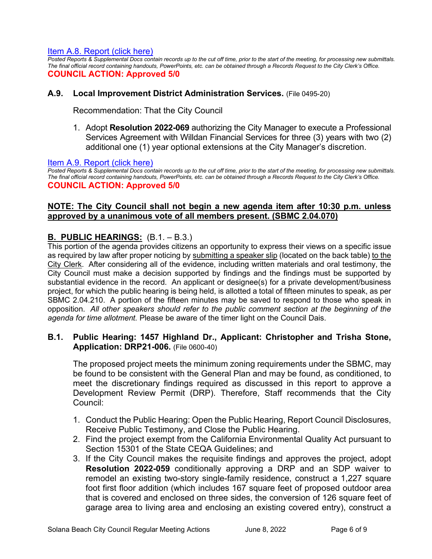## [Item A.8. Report \(click here\)](https://solanabeach.govoffice3.com/vertical/Sites/%7B840804C2-F869-4904-9AE3-720581350CE7%7D/uploads/A.8._Report_-_6-8-22_-_O.pdf)

*Posted Reports & Supplemental Docs contain records up to the cut off time, prior to the start of the meeting, for processing new submittals. The final official record containing handouts, PowerPoints, etc. can be obtained through a Records Request to the City Clerk's Office.* **COUNCIL ACTION: Approved 5/0**

## **A.9. Local Improvement District Administration Services.** (File 0495-20)

Recommendation: That the City Council

1. Adopt **Resolution 2022-069** authorizing the City Manager to execute a Professional Services Agreement with Willdan Financial Services for three (3) years with two (2) additional one (1) year optional extensions at the City Manager's discretion.

#### [Item A.9. Report \(click here\)](https://solanabeach.govoffice3.com/vertical/Sites/%7B840804C2-F869-4904-9AE3-720581350CE7%7D/uploads/A.9._Report_-_6-8-22_-_O.pdf)

*Posted Reports & Supplemental Docs contain records up to the cut off time, prior to the start of the meeting, for processing new submittals. The final official record containing handouts, PowerPoints, etc. can be obtained through a Records Request to the City Clerk's Office.* **COUNCIL ACTION: Approved 5/0**

## **NOTE: The City Council shall not begin a new agenda item after 10:30 p.m. unless approved by a unanimous vote of all members present. (SBMC 2.04.070)**

## **B. PUBLIC HEARINGS:** (B.1. – B.3.)

This portion of the agenda provides citizens an opportunity to express their views on a specific issue as required by law after proper noticing by submitting a speaker slip (located on the back table) to the City Clerk. After considering all of the evidence, including written materials and oral testimony, the City Council must make a decision supported by findings and the findings must be supported by substantial evidence in the record. An applicant or designee(s) for a private development/business project, for which the public hearing is being held, is allotted a total of fifteen minutes to speak, as per SBMC 2.04.210. A portion of the fifteen minutes may be saved to respond to those who speak in opposition. *All other speakers should refer to the public comment section at the beginning of the agenda for time allotment.* Please be aware of the timer light on the Council Dais.

## **B.1. Public Hearing: 1457 Highland Dr., Applicant: Christopher and Trisha Stone, Application: DRP21-006.** (File 0600-40)

The proposed project meets the minimum zoning requirements under the SBMC, may be found to be consistent with the General Plan and may be found, as conditioned, to meet the discretionary findings required as discussed in this report to approve a Development Review Permit (DRP). Therefore, Staff recommends that the City Council:

- 1. Conduct the Public Hearing: Open the Public Hearing, Report Council Disclosures, Receive Public Testimony, and Close the Public Hearing.
- 2. Find the project exempt from the California Environmental Quality Act pursuant to Section 15301 of the State CEQA Guidelines; and
- 3. If the City Council makes the requisite findings and approves the project, adopt **Resolution 2022-059** conditionally approving a DRP and an SDP waiver to remodel an existing two-story single-family residence, construct a 1,227 square foot first floor addition (which includes 167 square feet of proposed outdoor area that is covered and enclosed on three sides, the conversion of 126 square feet of garage area to living area and enclosing an existing covered entry), construct a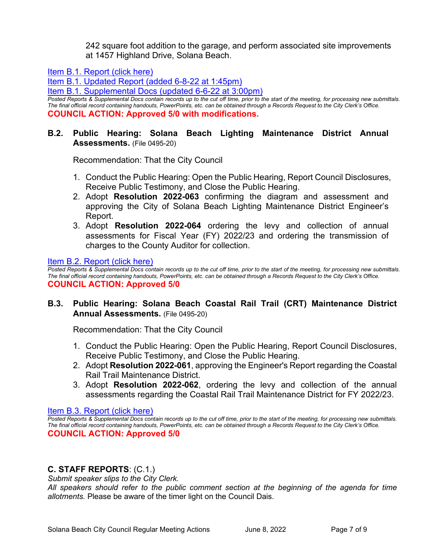242 square foot addition to the garage, and perform associated site improvements at 1457 Highland Drive, Solana Beach.

[Item B.1. Report \(click here\)](https://solanabeach.govoffice3.com/vertical/Sites/%7B840804C2-F869-4904-9AE3-720581350CE7%7D/uploads/B.1._Report_-6-8-22_-_O.pdf) 

[Item B.1. Updated Report \(added 6-8-22 at 1:45pm\)](https://solanabeach.govoffice3.com/vertical/Sites/%7B840804C2-F869-4904-9AE3-720581350CE7%7D/uploads/B.1._Updated_Report_1_-_O(1).pdf)

[Item B.1. Supplemental Docs \(updated 6-6-22 at 3:00pm\)](https://solanabeach.govoffice3.com/vertical/Sites/%7B840804C2-F869-4904-9AE3-720581350CE7%7D/uploads/Item_B.1._Supplemental_Docs_(updated_6-6-22_at_255pm)_-_O.pdf)

*Posted Reports & Supplemental Docs contain records up to the cut off time, prior to the start of the meeting, for processing new submittals. The final official record containing handouts, PowerPoints, etc. can be obtained through a Records Request to the City Clerk's Office.* **COUNCIL ACTION: Approved 5/0 with modifications.** 

## **B.2. Public Hearing: Solana Beach Lighting Maintenance District Annual Assessments.** (File 0495-20)

Recommendation: That the City Council

- 1. Conduct the Public Hearing: Open the Public Hearing, Report Council Disclosures, Receive Public Testimony, and Close the Public Hearing.
- 2. Adopt **Resolution 2022-063** confirming the diagram and assessment and approving the City of Solana Beach Lighting Maintenance District Engineer's Report.
- 3. Adopt **Resolution 2022-064** ordering the levy and collection of annual assessments for Fiscal Year (FY) 2022/23 and ordering the transmission of charges to the County Auditor for collection.

[Item B.2. Report \(click here\)](https://solanabeach.govoffice3.com/vertical/Sites/%7B840804C2-F869-4904-9AE3-720581350CE7%7D/uploads/B.2._Report_-_6-8-22_-_O.pdf) 

*Posted Reports & Supplemental Docs contain records up to the cut off time, prior to the start of the meeting, for processing new submittals. The final official record containing handouts, PowerPoints, etc. can be obtained through a Records Request to the City Clerk's Office.* **COUNCIL ACTION: Approved 5/0**

## **B.3. Public Hearing: Solana Beach Coastal Rail Trail (CRT) Maintenance District Annual Assessments.** (File 0495-20)

Recommendation: That the City Council

- 1. Conduct the Public Hearing: Open the Public Hearing, Report Council Disclosures, Receive Public Testimony, and Close the Public Hearing.
- 2. Adopt **Resolution 2022-061**, approving the Engineer's Report regarding the Coastal Rail Trail Maintenance District.
- 3. Adopt **Resolution 2022-062**, ordering the levy and collection of the annual assessments regarding the Coastal Rail Trail Maintenance District for FY 2022/23.

## [Item B.3. Report \(click here\)](https://solanabeach.govoffice3.com/vertical/Sites/%7B840804C2-F869-4904-9AE3-720581350CE7%7D/uploads/B.3._Report_-_6-8-22_-_O.pdf)

*Posted Reports & Supplemental Docs contain records up to the cut off time, prior to the start of the meeting, for processing new submittals. The final official record containing handouts, PowerPoints, etc. can be obtained through a Records Request to the City Clerk's Office.* **COUNCIL ACTION: Approved 5/0**

## **C. STAFF REPORTS**: (C.1.)

*Submit speaker slips to the City Clerk.* 

*All speakers should refer to the public comment section at the beginning of the agenda for time allotments.* Please be aware of the timer light on the Council Dais.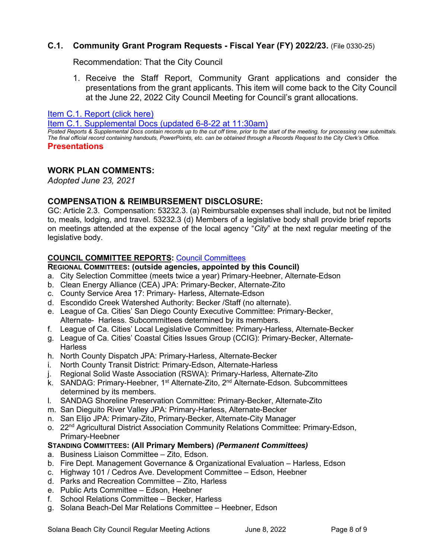## **C.1. Community Grant Program Requests - Fiscal Year (FY) 2022/23.** (File 0330-25)

Recommendation: That the City Council

1. Receive the Staff Report, Community Grant applications and consider the presentations from the grant applicants. This item will come back to the City Council at the June 22, 2022 City Council Meeting for Council's grant allocations.

[Item C.1. Report \(click here\)](https://solanabeach.govoffice3.com/vertical/Sites/%7B840804C2-F869-4904-9AE3-720581350CE7%7D/uploads/C.1._Report_-_6-8-22_-_O.pdf) 

[Item C.1. Supplemental Docs \(updated 6-8-22 at 11:30am\)](https://solanabeach.govoffice3.com/vertical/Sites/%7B840804C2-F869-4904-9AE3-720581350CE7%7D/uploads/C.1._Supp_Docs_-_6-8_(1115am).pdf)

*Posted Reports & Supplemental Docs contain records up to the cut off time, prior to the start of the meeting, for processing new submittals. The final official record containing handouts, PowerPoints, etc. can be obtained through a Records Request to the City Clerk's Office.* **Presentations** 

## **WORK PLAN COMMENTS:**

*Adopted June 23, 2021*

## **COMPENSATION & REIMBURSEMENT DISCLOSURE:**

GC: Article 2.3. Compensation: 53232.3. (a) Reimbursable expenses shall include, but not be limited to, meals, lodging, and travel. 53232.3 (d) Members of a legislative body shall provide brief reports on meetings attended at the expense of the local agency "*City*" at the next regular meeting of the legislative body.

## **COUNCIL COMMITTEE REPORTS:** [Council Committees](https://www.ci.solana-beach.ca.us/index.asp?SEC=584E1192-3850-46EA-B977-088AC3E81E0D&Type=B_BASIC)

## **REGIONAL COMMITTEES: (outside agencies, appointed by this Council)**

- a. City Selection Committee (meets twice a year) Primary-Heebner, Alternate-Edson
- b. Clean Energy Alliance (CEA) JPA: Primary-Becker, Alternate-Zito
- c. County Service Area 17: Primary- Harless, Alternate-Edson
- d. Escondido Creek Watershed Authority: Becker /Staff (no alternate).
- e. League of Ca. Cities' San Diego County Executive Committee: Primary-Becker, Alternate- Harless. Subcommittees determined by its members.
- f. League of Ca. Cities' Local Legislative Committee: Primary-Harless, Alternate-Becker
- g. League of Ca. Cities' Coastal Cities Issues Group (CCIG): Primary-Becker, Alternate-**Harless**
- h. North County Dispatch JPA: Primary-Harless, Alternate-Becker
- i. North County Transit District: Primary-Edson, Alternate-Harless
- j. Regional Solid Waste Association (RSWA): Primary-Harless, Alternate-Zito
- k. SANDAG: Primary-Heebner, 1<sup>st</sup> Alternate-Zito, 2<sup>nd</sup> Alternate-Edson. Subcommittees determined by its members.
- l. SANDAG Shoreline Preservation Committee: Primary-Becker, Alternate-Zito
- m. San Dieguito River Valley JPA: Primary-Harless, Alternate-Becker
- n. San Elijo JPA: Primary-Zito, Primary-Becker, Alternate-City Manager
- o. 22<sup>nd</sup> Agricultural District Association Community Relations Committee: Primary-Edson, Primary-Heebner

## **STANDING COMMITTEES: (All Primary Members)** *(Permanent Committees)*

- a. Business Liaison Committee Zito, Edson.
- b. Fire Dept. Management Governance & Organizational Evaluation Harless, Edson
- c. Highway 101 / Cedros Ave. Development Committee Edson, Heebner
- d. Parks and Recreation Committee Zito, Harless
- e. Public Arts Committee Edson, Heebner
- f. School Relations Committee Becker, Harless
- g. Solana Beach-Del Mar Relations Committee Heebner, Edson